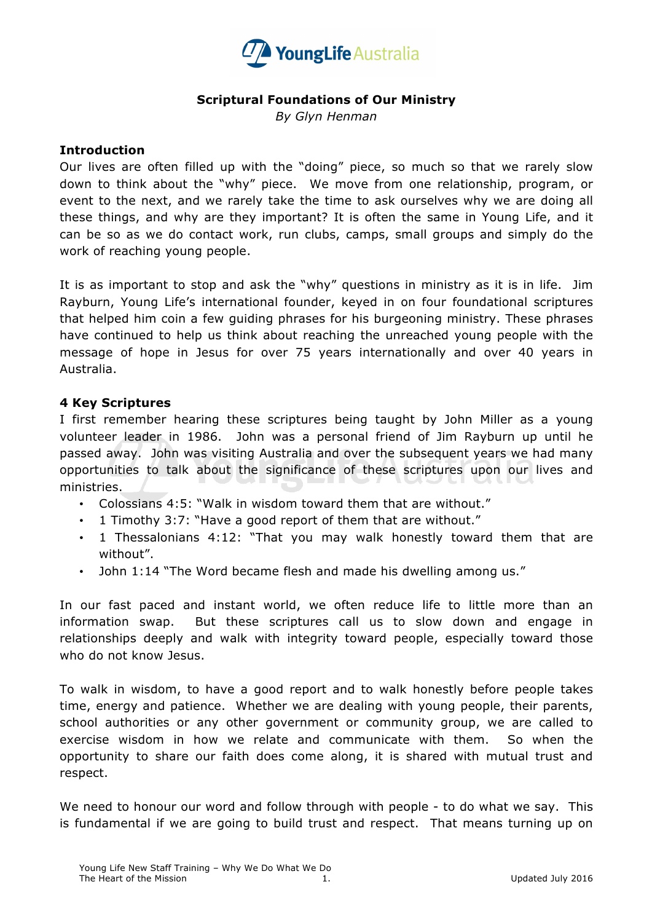

## **Scriptural Foundations of Our Ministry**

*By Glyn Henman*

## **Introduction**

Our lives are often filled up with the "doing" piece, so much so that we rarely slow down to think about the "why" piece. We move from one relationship, program, or event to the next, and we rarely take the time to ask ourselves why we are doing all these things, and why are they important? It is often the same in Young Life, and it can be so as we do contact work, run clubs, camps, small groups and simply do the work of reaching young people.

It is as important to stop and ask the "why" questions in ministry as it is in life. Jim Rayburn, Young Life's international founder, keyed in on four foundational scriptures that helped him coin a few guiding phrases for his burgeoning ministry. These phrases have continued to help us think about reaching the unreached young people with the message of hope in Jesus for over 75 years internationally and over 40 years in Australia.

## **4 Key Scriptures**

I first remember hearing these scriptures being taught by John Miller as a young volunteer leader in 1986. John was a personal friend of Jim Rayburn up until he passed away. John was visiting Australia and over the subsequent years we had many opportunities to talk about the significance of these scriptures upon our lives and ministries.

- Colossians 4:5: "Walk in wisdom toward them that are without."
- 1 Timothy 3:7: "Have a good report of them that are without."
- 1 Thessalonians 4:12: "That you may walk honestly toward them that are without".
- John 1:14 "The Word became flesh and made his dwelling among us."

In our fast paced and instant world, we often reduce life to little more than an information swap. But these scriptures call us to slow down and engage in relationships deeply and walk with integrity toward people, especially toward those who do not know Jesus.

To walk in wisdom, to have a good report and to walk honestly before people takes time, energy and patience. Whether we are dealing with young people, their parents, school authorities or any other government or community group, we are called to exercise wisdom in how we relate and communicate with them. So when the opportunity to share our faith does come along, it is shared with mutual trust and respect.

We need to honour our word and follow through with people - to do what we say. This is fundamental if we are going to build trust and respect. That means turning up on